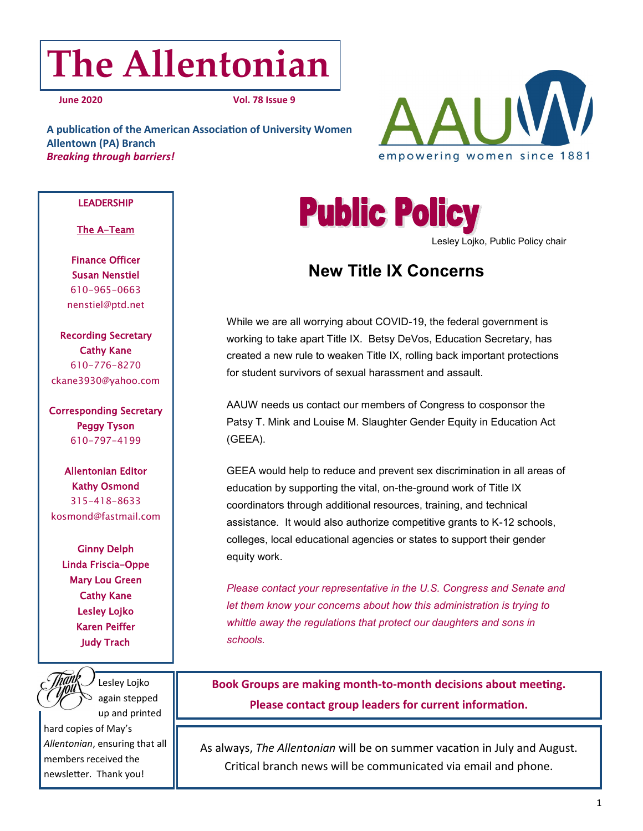# **The Allentonian**

**June 2020 Vol. 78 Issue 9**

**A publication of the American Association of University Women Allentown (PA) Branch** *Breaking through barriers!*



### **LEADERSHIP**

#### The A-Team

Finance Officer Susan Nenstiel 610-965-0663 [nenstiel@ptd.net](mailto:nenstiel@ptd.net)

Recording Secretary Cathy Kane 610-776-8270 ckane3930@yahoo.com

Corresponding Secretary Peggy Tyson 610-797-4199

Allentonian Editor Kathy Osmond 315-418-8633 kosmond@fastmail.com

Ginny Delph Linda Friscia-Oppe Mary Lou Green Cathy Kane Lesley Lojko Karen Peiffer Judy Trach

Lesley Lojko again stepped

up and printed hard copies of May's *Allentonian*, ensuring that all members received the newsletter. Thank you!

## **Public Policy**

Lesley Lojko, Public Policy chair

## **New Title IX Concerns**

While we are all worrying about COVID-19, the federal government is working to take apart Title IX. Betsy DeVos, Education Secretary, has created a new rule to weaken Title IX, rolling back important protections for student survivors of sexual harassment and assault.

AAUW needs us contact our members of Congress to cosponsor the Patsy T. Mink and Louise M. Slaughter Gender Equity in Education Act (GEEA).

GEEA would help to reduce and prevent sex discrimination in all areas of education by supporting the vital, on-the-ground work of Title IX coordinators through additional resources, training, and technical assistance. It would also authorize competitive grants to K-12 schools, colleges, local educational agencies or states to support their gender equity work.

*Please contact your representative in the U.S. Congress and Senate and let them know your concerns about how this administration is trying to whittle away the regulations that protect our daughters and sons in schools.*

**Book Groups are making month-to-month decisions about meeting. Please contact group leaders for current information.** 

As always, *The Allentonian* will be on summer vacation in July and August. Critical branch news will be communicated via email and phone.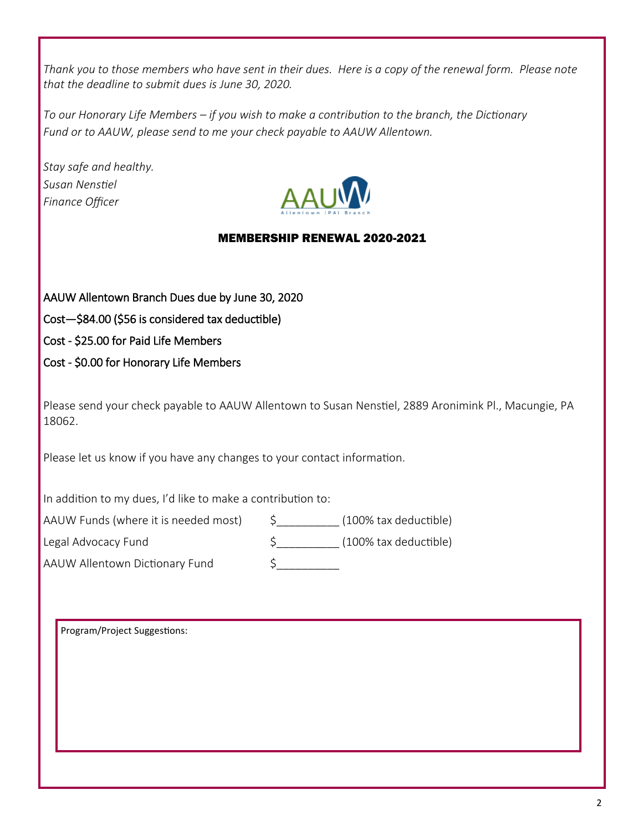*Thank you to those members who have sent in their dues. Here is a copy of the renewal form. Please note that the deadline to submit dues is June 30, 2020.*

*To our Honorary Life Members – if you wish to make a contribution to the branch, the Dictionary Fund or to AAUW, please send to me your check payable to AAUW Allentown.*

*Stay safe and healthy. Susan Nenstiel Finance Officer*



### MEMBERSHIP RENEWAL 2020-2021

AAUW Allentown Branch Dues due by June 30, 2020

Cost—\$84.00 (\$56 is considered tax deductible)

Cost - \$25.00 for Paid Life Members

Cost - \$0.00 for Honorary Life Members

Please send your check payable to AAUW Allentown to Susan Nenstiel, 2889 Aronimink Pl., Macungie, PA 18062.

Please let us know if you have any changes to your contact information.

In addition to my dues, I'd like to make a contribution to:

AAUW Funds (where it is needed most)  $\qquad$  \$ (100% tax deductible)

Legal Advocacy Fund  $\uparrow$  (100% tax deductible) AAUW Allentown Dictionary Fund 5

Program/Project Suggestions: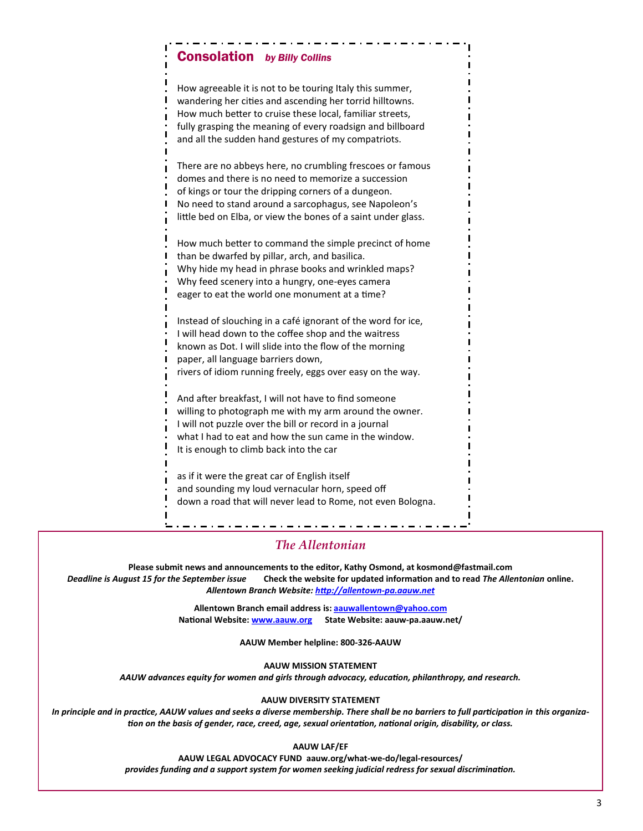| <b>Consolation</b> by Billy Collins                                                                                                                                                                                                                                                                   |
|-------------------------------------------------------------------------------------------------------------------------------------------------------------------------------------------------------------------------------------------------------------------------------------------------------|
| How agreeable it is not to be touring Italy this summer,<br>wandering her cities and ascending her torrid hilltowns.<br>How much better to cruise these local, familiar streets,<br>fully grasping the meaning of every roadsign and billboard<br>and all the sudden hand gestures of my compatriots. |
| There are no abbeys here, no crumbling frescoes or famous<br>domes and there is no need to memorize a succession<br>of kings or tour the dripping corners of a dungeon.<br>No need to stand around a sarcophagus, see Napoleon's<br>little bed on Elba, or view the bones of a saint under glass.     |
| How much better to command the simple precinct of home<br>than be dwarfed by pillar, arch, and basilica.<br>Why hide my head in phrase books and wrinkled maps?<br>Why feed scenery into a hungry, one-eyes camera<br>eager to eat the world one monument at a time?                                  |
| Instead of slouching in a café ignorant of the word for ice,<br>I will head down to the coffee shop and the waitress<br>known as Dot. I will slide into the flow of the morning<br>paper, all language barriers down,<br>rivers of idiom running freely, eggs over easy on the way.                   |
| And after breakfast, I will not have to find someone<br>willing to photograph me with my arm around the owner.<br>I will not puzzle over the bill or record in a journal<br>what I had to eat and how the sun came in the window.<br>It is enough to climb back into the car                          |
| as if it were the great car of English itself<br>and sounding my loud vernacular horn, speed off<br>down a road that will never lead to Rome, not even Bologna.                                                                                                                                       |

### *The Allentonian*

----------------------------------

**Please submit news and announcements to the editor, Kathy Osmond, at kosmond@fastmail.com** *Deadline is August 15 for the September issue* **Check the website for updated information and to read** *The Allentonian* **online.**  *Allentown Branch Website: [http://allentown](http://allentown-pa.aauw.net)-pa.aauw.net*

> **Allentown Branch email address is: [aauwallentown@yahoo.com](mailto:aauwallentown@yahoo.com) National Website: [www.aauw.org](http://www.aauw.org) State Website: aauw-pa.aauw.net/**

> > **AAUW Member helpline: 800-326-AAUW**

**AAUW MISSION STATEMENT**

*AAUW advances equity for women and girls through advocacy, education, philanthropy, and research.*

**AAUW DIVERSITY STATEMENT**

In principle and in practice, AAUW values and seeks a diverse membership. There shall be no barriers to full participation in this organiza*tion on the basis of gender, race, creed, age, sexual orientation, national origin, disability, or class.*

**AAUW LAF/EF**

**AAUW LEGAL ADVOCACY FUND aauw.org/what-we-do/legal-resources/**

*provides funding and a support system for women seeking judicial redress for sexual discrimination.*